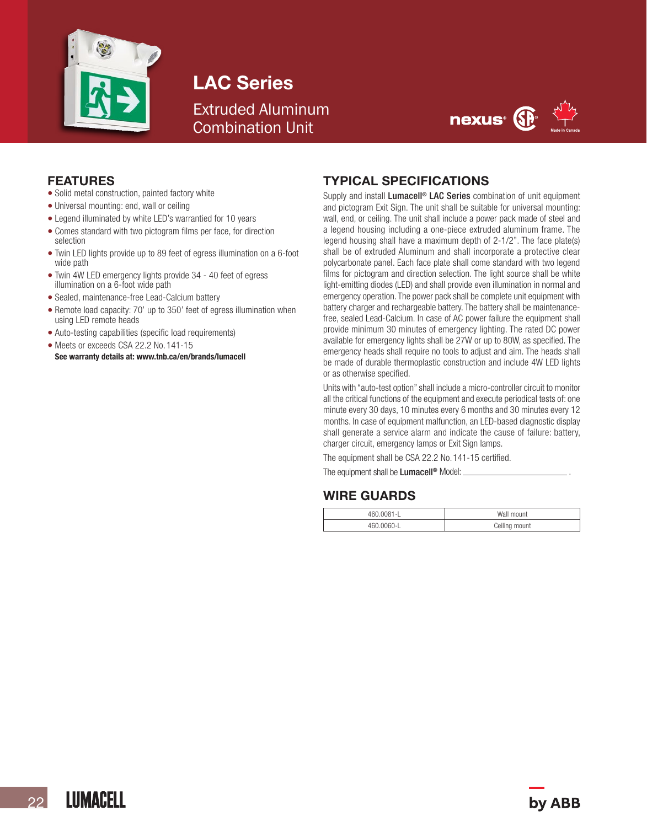

LAC Series Extruded Aluminum Combination Unit



#### FEATURES

- Solid metal construction, painted factory white
- Universal mounting: end, wall or ceiling
- Legend illuminated by white LED's warrantied for 10 years
- Comes standard with two pictogram films per face, for direction selection
- Twin LED lights provide up to 89 feet of egress illumination on a 6-foot wide path
- Twin 4W LED emergency lights provide 34 40 feet of egress illumination on a 6-foot wide path
- Sealed, maintenance-free Lead-Calcium battery
- Remote load capacity: 70' up to 350' feet of egress illumination when using LED remote heads
- Auto-testing capabilities (specific load requirements)
- Meets or exceeds CSA 22.2 No. 141-15<br>See warranty details at: www.tnb.ca/en/brands/lumacell
- 

### TYPICAL SPECIFICATIONS

Supply and install Lumacell<sup>®</sup> LAC Series combination of unit equipment and pictogram Exit Sign. The unit shall be suitable for universal mounting: wall, end, or ceiling. The unit shall include a power pack made of steel and a legend housing including a one-piece extruded aluminum frame. The legend housing shall have a maximum depth of 2-1/2". The face plate(s) shall be of extruded Aluminum and shall incorporate a protective clear polycarbonate panel. Each face plate shall come standard with two legend films for pictogram and direction selection. The light source shall be white light-emitting diodes (LED) and shall provide even illumination in normal and emergency operation. The power pack shall be complete unit equipment with battery charger and rechargeable battery. The battery shall be maintenancefree, sealed Lead-Calcium. In case of AC power failure the equipment shall provide minimum 30 minutes of emergency lighting. The rated DC power available for emergency lights shall be 27W or up to 80W, as specified. The emergency heads shall require no tools to adjust and aim. The heads shall be made of durable thermoplastic construction and include 4W LED lights or as otherwise specified.

Units with "auto-test option" shall include a micro-controller circuit to monitor all the critical functions of the equipment and execute periodical tests of: one minute every 30 days, 10 minutes every 6 months and 30 minutes every 12 months. In case of equipment malfunction, an LED-based diagnostic display shall generate a service alarm and indicate the cause of failure: battery, charger circuit, emergency lamps or Exit Sign lamps.

The equipment shall be CSA 22.2 No.141-15 certified.

The equipment shall be Lumacell<sup>®</sup> Model:

### WIRE GUARDS

| 460.0081-L | Wall mount    |
|------------|---------------|
| $\Omega$   | Ceiling mount |